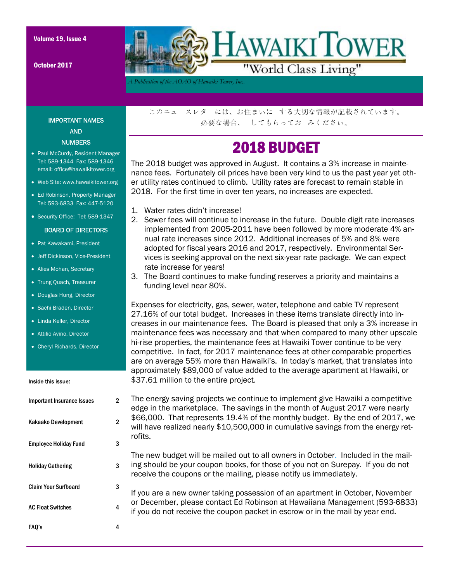October 2017



*A Publication of the AOAO of Hawaiki Tower, Inc..* 

IMPORTANT NAMES AND **NUMBERS** 

- Paul McCurdy, Resident Manager Tel: 589-1344 Fax: 589-1346 email: office@hawaikitower.org
- Web Site: www.hawaikitower.org
- Ed Robinson, Property Manager Tel: 593-6833 Fax: 447-5120
- Security Office: Tel: 589-1347

#### BOARD OF DIRECTORS

- Pat Kawakami, President
- Jeff Dickinson, Vice-President
- Alies Mohan, Secretary
- Trung Quach, Treasurer
- Douglas Hung, Director
- Sachi Braden, Director
- Linda Keller, Director
- Attilio Avino, Director
- Cheryl Richards, Director

#### Inside this issue:

# Important Insurance Issues 2 Kakaako Development 2 Employee Holiday Fund 3 Holiday Gathering 3 Claim Your Surfboard 3 FAQ's 4 AC Float Switches 4

このニュ スレタ には、お住まいに する大切な情報が記載されています。 必要な場合、 してもらってお みください。

## 2018 BUDGET

The 2018 budget was approved in August. It contains a 3% increase in maintenance fees. Fortunately oil prices have been very kind to us the past year yet other utility rates continued to climb. Utility rates are forecast to remain stable in 2018. For the first time in over ten years, no increases are expected.

- 1. Water rates didn't increase!
- 2. Sewer fees will continue to increase in the future. Double digit rate increases implemented from 2005-2011 have been followed by more moderate 4% annual rate increases since 2012. Additional increases of 5% and 8% were adopted for fiscal years 2016 and 2017, respectively. Environmental Services is seeking approval on the next six-year rate package. We can expect rate increase for years!
- 3. The Board continues to make funding reserves a priority and maintains a funding level near 80%.

Expenses for electricity, gas, sewer, water, telephone and cable TV represent 27.16% of our total budget. Increases in these items translate directly into increases in our maintenance fees. The Board is pleased that only a 3% increase in maintenance fees was necessary and that when compared to many other upscale hi-rise properties, the maintenance fees at Hawaiki Tower continue to be very competitive. In fact, for 2017 maintenance fees at other comparable properties are on average 55% more than Hawaiki's. In today's market, that translates into approximately \$89,000 of value added to the average apartment at Hawaiki, or \$37.61 million to the entire project.

The energy saving projects we continue to implement give Hawaiki a competitive edge in the marketplace. The savings in the month of August 2017 were nearly \$66,000. That represents 19.4% of the monthly budget. By the end of 2017, we will have realized nearly \$10,500,000 in cumulative savings from the energy retrofits.

The new budget will be mailed out to all owners in October. Included in the mailing should be your coupon books, for those of you not on Surepay. If you do not receive the coupons or the mailing, please notify us immediately.

If you are a new owner taking possession of an apartment in October, November or December, please contact Ed Robinson at Hawaiiana Management (593-6833) if you do not receive the coupon packet in escrow or in the mail by year end.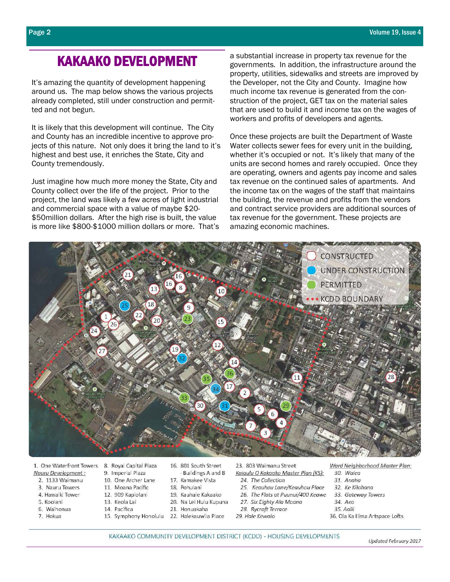### **KAKAAKO DEVELOPMENT**

It's amazing the quantity of development happening around us. The map below shows the various projects already completed, still under construction and permitted and not begun.

It is likely that this development will continue. The City and County has an incredible incentive to approve projects of this nature. Not only does it bring the land to it's highest and best use, it enriches the State, City and County tremendously.

Just imagine how much more money the State, City and County collect over the life of the project. Prior to the project, the land was likely a few acres of light industrial and commercial space with a value of maybe \$20-\$50 million dollars. After the high rise is built, the value is more like \$800-\$1000 million dollars or more. That's a substantial increase in property tax revenue for the governments. In addition, the infrastructure around the property, utilities, sidewalks and streets are improved by the Developer, not the City and County. Imagine how much income tax revenue is generated from the construction of the project. GET tax on the material sales that are used to build it and income tax on the wages of workers and profits of developers and agents.

Once these projects are built the Department of Waste Water collects sewer fees for every unit in the building, whether it's occupied or not. It's likely that many of the units are second homes and rarely occupied. Once they are operating, owners and agents pay income and sales tax revenue on the continued sales of apartments. And the income tax on the wages of the staff that maintains the building, the revenue and profits from the vendors and contract service providers are additional sources of tax revenue for the government. These projects are amazing economic machines.



1. One Waterfront Towers Nauru Development:

- 2. 1133 Waimanu
- 3. Nauru Towers
- 4. Hawaiki Tower
- 5. Koolani
- 6 Waihonua
- 7. Hokua
- 8. Royal Capital Plaza 9. Imperial Plaza
- 10. One Archer Lane
- 11. Moana Pacific
- 12. 909 Kapiolani
- 13. Keola Lai
- 14 Pacifica
- 
- 16. 801 South Street Buildings A and B
- 17. Kamakee Vista
- 18. Pohulani
- 19. Kauhale Kakaako
- 20. Na Lei Hulu Kupuna
- 21 Honuakaha
- 15. Symphony Honolulu 22. Halekauwila Place

23. 803 Waimanu Street

- Kaiaulu O Kakaako Master Plan (KS): 24. The Collection
- 25. Keauhou Lane/Keauhou Place
- 26. The Flats at Puunui/400 Keawe
- 27. Six Eighty Ala Moana
- 28. Rycroft Terrace
- 29. Hale Kewalo
- Ward Neighborhood Master Plan:
- 30. Waiea
- $31$  Angha
- 32. Ke Kilohana
- 33. Gateway Towers
- 34. Aeo 35 Aglii
- 36. Ola Ka Ilima Artspace Lofts
- KAKAAKO COMMUNITY DEVELOPMENT DISTRICT (KCDD) HOUSING DEVELOPMENTS

Updated February 2017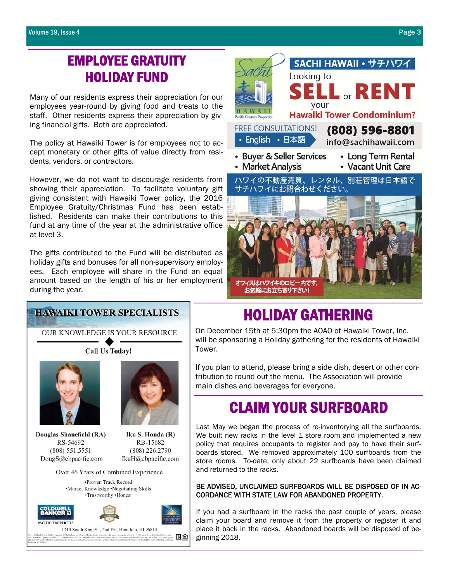### EMPLOYEE GRATUITY HOLIDAY FUND

Many of our residents express their appreciation for our employees year-round by giving food and treats to the staff. Other residents express their appreciation by giving financial gifts. Both are appreciated.

The policy at Hawaiki Tower is for employees not to accept monetary or other gifts of value directly from residents, vendors, or contractors.

However, we do not want to discourage residents from showing their appreciation. To facilitate voluntary gift giving consistent with Hawaiki Tower policy, the 2016 Employee Gratuity/Christmas Fund has been established. Residents can make their contributions to this fund at any time of the year at the administrative office at level 3.

The gifts contributed to the Fund will be distributed as holiday gifts and bonuses for all non-supervisory employees. Each employee will share in the Fund an equal amount based on the length of his or her employment during the year.



# **HOLIDAY GATHERING**<br>On December 15th at 5:30pm the AOAO of Hawaiki Tower, Inc.

will be sponsoring a Holiday gathering for the residents of Hawaiki

OUR KNOWLEDGE IS YOUR RESOURCE

**HAWAIKI TOWER SPECIALISTS** 

**Call Us Today!** 





Douglas Shanefield (RA) RS-54692 (808) 551.5551 DougS@cbpacific.com

Iku S. Honda (R) RB-15682 (808) 226.2790 IkuH@cbpacific.com

Over 46 Years of Combined Experience





Tower. If you plan to attend, please bring a side dish, desert or other contribution to round out the menu. The Association will provide main dishes and beverages for everyone.

# CLAIM YOUR SURFBOARD

Last May we began the process of re-inventorying all the surfboards. We built new racks in the level 1 store room and implemented a new policy that requires occupants to register and pay to have their surfboards stored. We removed approximately 100 surfboards from the store rooms. To-date, only about 22 surfboards have been claimed and returned to the racks.

BE ADVISED, UNCLAIMED SURFBOARDS WILL BE DISPOSED OF IN AC-CORDANCE WITH STATE LAW FOR ABANDONED PROPERTY.

If you had a surfboard in the racks the past couple of years, please claim your board and remove it from the property or register it and place it back in the racks. Abandoned boards will be disposed of beginning 2018.